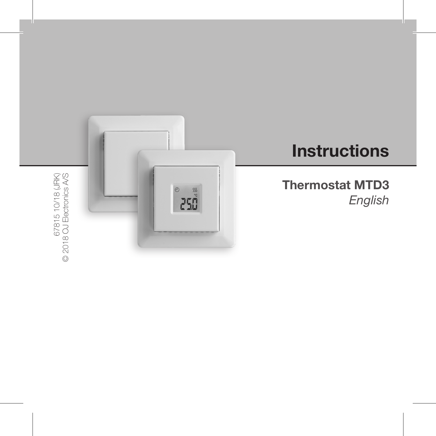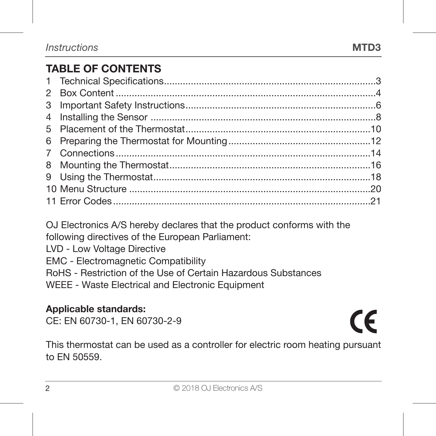# TABLE OF CONTENTS

OJ Electronics A/S hereby declares that the product conforms with the following directives of the European Parliament:

- LVD Low Voltage Directive
- EMC Electromagnetic Compatibility

RoHS - Restriction of the Use of Certain Hazardous Substances

WEEE - Waste Electrical and Electronic Equipment

#### Applicable standards:

CE: EN 60730-1, EN 60730-2-9

# $\epsilon$

This thermostat can be used as a controller for electric room heating pursuant to EN 50559.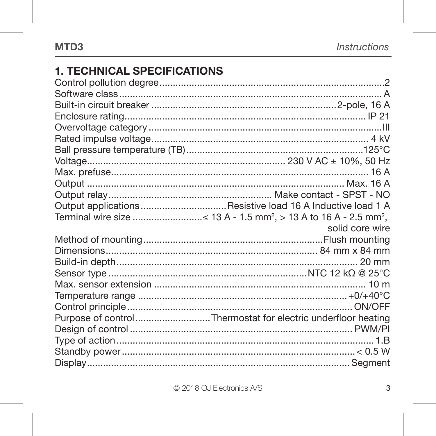# **1. TECHNICAL SPECIFICATIONS**

| Output applicationsResistive load 16 A Inductive load 1 A                               |
|-----------------------------------------------------------------------------------------|
| Terminal wire size  13 A - 1.5 mm <sup>2</sup> , > 13 A to 16 A - 2.5 mm <sup>2</sup> . |
| solid core wire                                                                         |
|                                                                                         |
|                                                                                         |
|                                                                                         |
|                                                                                         |
|                                                                                         |
|                                                                                         |
|                                                                                         |
| Purpose of controlThermostat for electric underfloor heating                            |
|                                                                                         |
|                                                                                         |
|                                                                                         |
|                                                                                         |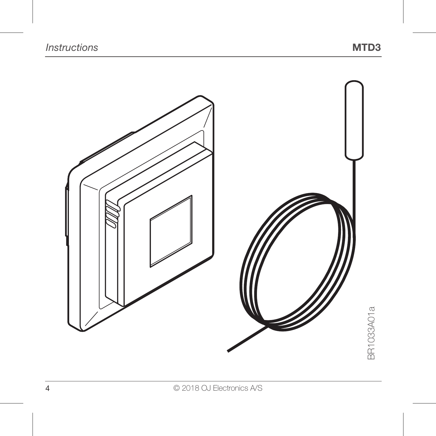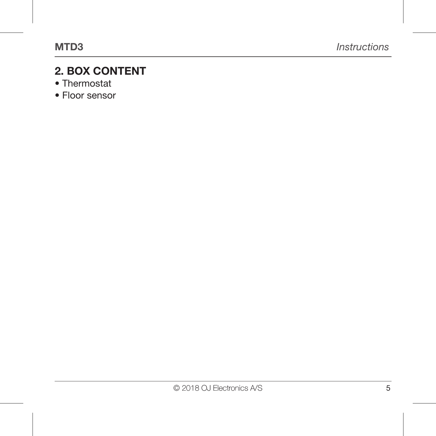# 2. BOX CONTENT

- Thermostat
- Floor sensor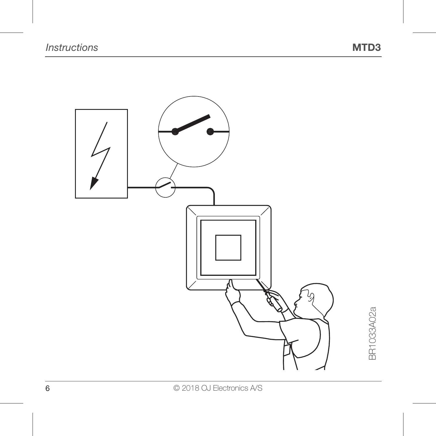

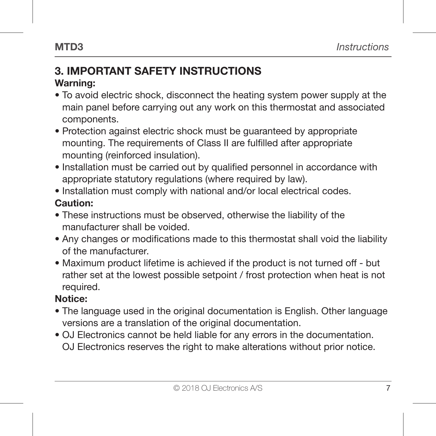#### 3. IMPORTANT SAFETY INSTRUCTIONS Warning:

- To avoid electric shock, disconnect the heating system power supply at the main panel before carrying out any work on this thermostat and associated components.
- Protection against electric shock must be guaranteed by appropriate mounting. The requirements of Class II are fulfilled after appropriate mounting (reinforced insulation).
- Installation must be carried out by qualified personnel in accordance with appropriate statutory regulations (where required by law).
- Installation must comply with national and/or local electrical codes. Caution:
- These instructions must be observed, otherwise the liability of the manufacturer shall be voided.
- Any changes or modifications made to this thermostat shall void the liability of the manufacturer.
- Maximum product lifetime is achieved if the product is not turned off but rather set at the lowest possible setpoint / frost protection when heat is not required.

#### Notice:

- The language used in the original documentation is English. Other language versions are a translation of the original documentation.
- OJ Electronics cannot be held liable for any errors in the documentation. OJ Electronics reserves the right to make alterations without prior notice.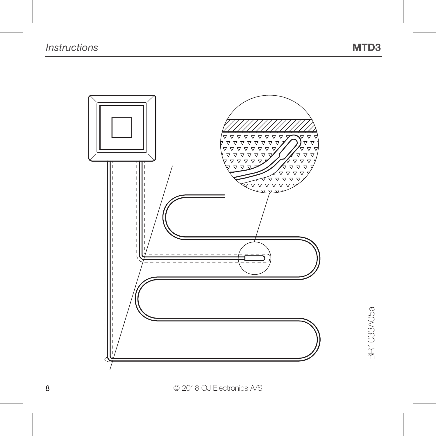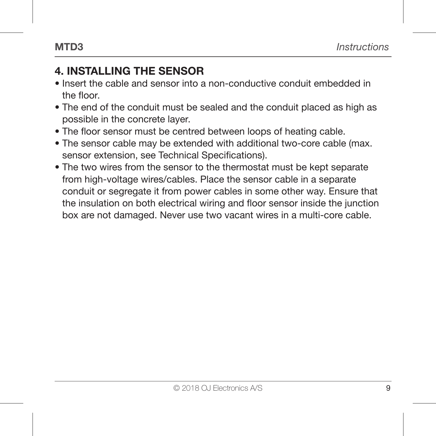# 4. INSTALLING THE SENSOR

- Insert the cable and sensor into a non-conductive conduit embedded in the floor.
- The end of the conduit must be sealed and the conduit placed as high as possible in the concrete layer.
- The floor sensor must be centred between loops of heating cable.
- The sensor cable may be extended with additional two-core cable (max. sensor extension, see Technical Specifications).
- The two wires from the sensor to the thermostat must be kept separate from high-voltage wires/cables. Place the sensor cable in a separate conduit or segregate it from power cables in some other way. Ensure that the insulation on both electrical wiring and floor sensor inside the junction box are not damaged. Never use two vacant wires in a multi-core cable.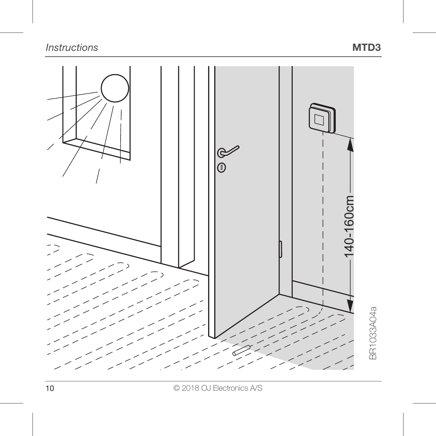#### Instructions **MTD3**





10 © 2018 OJ Electronics A/S © 2018 OJ Electronics A/S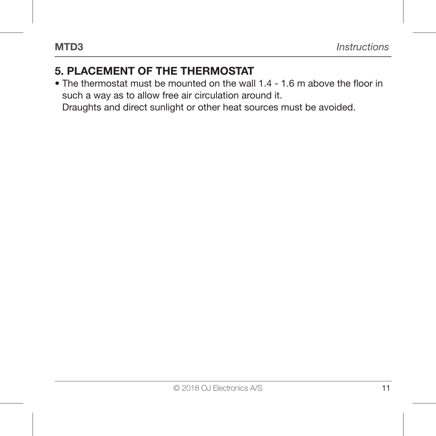### 5. PLACEMENT OF THE THERMOSTAT

• The thermostat must be mounted on the wall 1.4 - 1.6 m above the floor in such a way as to allow free air circulation around it.

Draughts and direct sunlight or other heat sources must be avoided.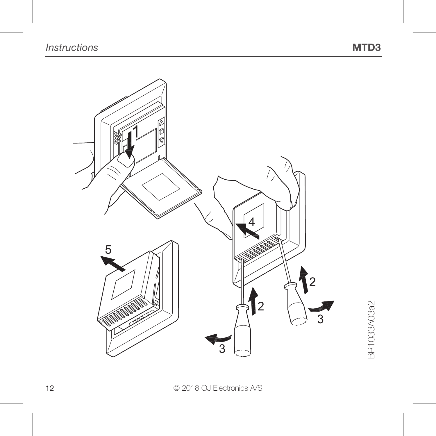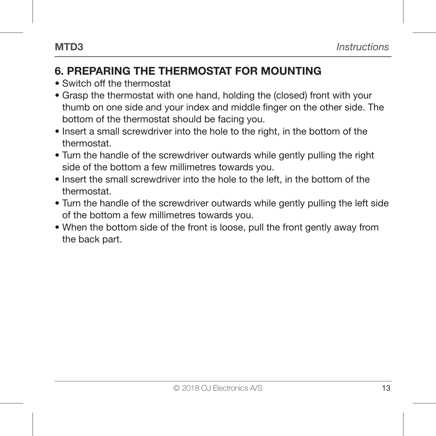## 6. PREPARING THE THERMOSTAT FOR MOUNTING

- Switch off the thermostat
- Grasp the thermostat with one hand, holding the (closed) front with your thumb on one side and your index and middle finger on the other side. The bottom of the thermostat should be facing you.
- Insert a small screwdriver into the hole to the right, in the bottom of the thermostat.
- Turn the handle of the screwdriver outwards while gently pulling the right side of the bottom a few millimetres towards you.
- Insert the small screwdriver into the hole to the left, in the bottom of the thermostat.
- Turn the handle of the screwdriver outwards while gently pulling the left side of the bottom a few millimetres towards you.
- When the bottom side of the front is loose, pull the front gently away from the back part.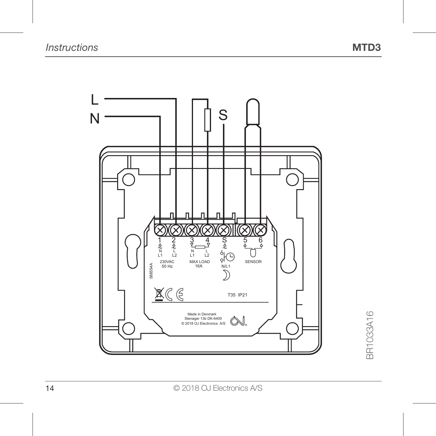

BR1033A16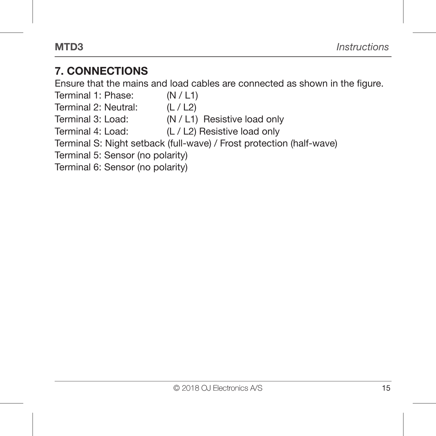# 7. CONNECTIONS

Ensure that the mains and load cables are connected as shown in the figure.

Terminal 1: Phase: (N / L1)

Terminal 2: Neutral: (L / L2)<br>Terminal 3: Load: (N / L1)

Terminal 3: Load: (N / L1) Resistive load only<br>Terminal 4: Load: (L12) Resistive load only

 $(L / L2)$  Resistive load only

Terminal S: Night setback (full-wave) / Frost protection (half-wave)

Terminal 5: Sensor (no polarity)

Terminal 6: Sensor (no polarity)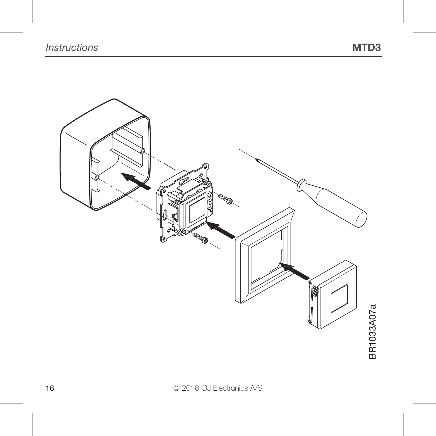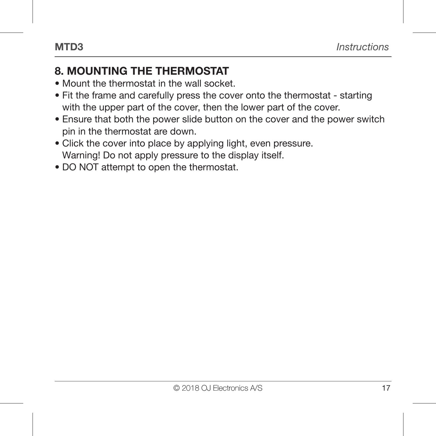#### 8. MOUNTING THE THERMOSTAT

- Mount the thermostat in the wall socket.
- Fit the frame and carefully press the cover onto the thermostat starting with the upper part of the cover, then the lower part of the cover.
- Ensure that both the power slide button on the cover and the power switch pin in the thermostat are down.
- Click the cover into place by applying light, even pressure. Warning! Do not apply pressure to the display itself.
- DO NOT attempt to open the thermostat.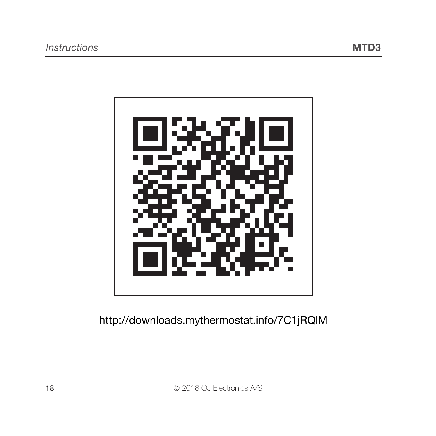

http://downloads.mythermostat.info/7C1jRQlM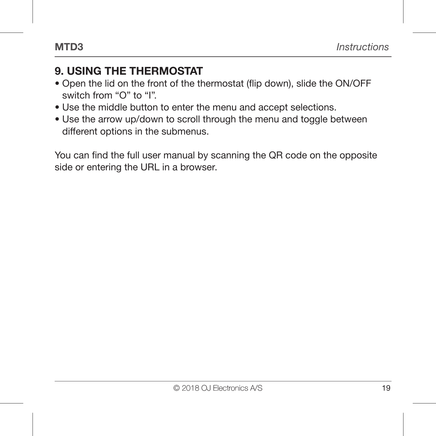## 9. USING THE THERMOSTAT

- Open the lid on the front of the thermostat (flip down), slide the ON/OFF switch from "O" to "I".
- Use the middle button to enter the menu and accept selections.
- Use the arrow up/down to scroll through the menu and toggle between different options in the submenus.

You can find the full user manual by scanning the QR code on the opposite side or entering the URL in a browser.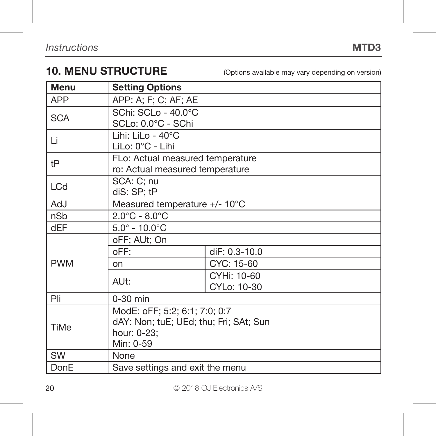| Menu       | <b>Setting Options</b>                 |               |  |
|------------|----------------------------------------|---------------|--|
| APP        | APP: A; F; C; AF; AE                   |               |  |
| <b>SCA</b> | $SChi: SCLo - 40.0^{\circ}C$           |               |  |
|            | SCLo: 0.0°C - SChi                     |               |  |
| Li         | Lihi: LiLo - $40^{\circ}$ C            |               |  |
|            | LiLo: 0°C - Lihi                       |               |  |
| tP         | FLo: Actual measured temperature       |               |  |
|            | ro: Actual measured temperature        |               |  |
| LCd        | SCA: C: nu                             |               |  |
|            | diS: SP; tP                            |               |  |
| AdJ        | Measured temperature +/- 10°C          |               |  |
| nSb        | $2.0^{\circ}$ C - $8.0^{\circ}$ C      |               |  |
| dEF        | $5.0^\circ - 10.0^\circ C$             |               |  |
|            | oFF; AUt; On                           |               |  |
|            | oFF:                                   | diF: 0.3-10.0 |  |
| <b>PWM</b> | on                                     | CYC: 15-60    |  |
|            | AU <sub>t:</sub>                       | CYHi: 10-60   |  |
|            |                                        | CYLo: 10-30   |  |
| Pli        | 0-30 min                               |               |  |
|            | ModE: oFF; 5:2; 6:1; 7:0; 0:7          |               |  |
| TiMe       | dAY: Non; tuE; UEd; thu; Fri; SAt; Sun |               |  |
|            | hour: 0-23:                            |               |  |
|            | Min: 0-59                              |               |  |
| SW         | None                                   |               |  |
| DonE       | Save settings and exit the menu        |               |  |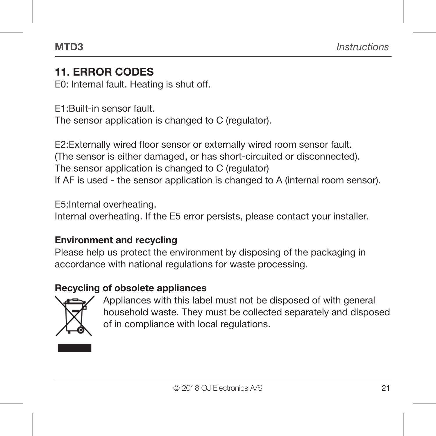### 11. ERROR CODES

E0: Internal fault. Heating is shut off.

E1:Built-in sensor fault. The sensor application is changed to C (regulator).

E2:Externally wired floor sensor or externally wired room sensor fault. (The sensor is either damaged, or has short-circuited or disconnected). The sensor application is changed to C (regulator) If AF is used - the sensor application is changed to A (internal room sensor).

E5:Internal overheating. Internal overheating. If the E5 error persists, please contact your installer.

#### Environment and recycling

Please help us protect the environment by disposing of the packaging in accordance with national regulations for waste processing.

#### Recycling of obsolete appliances



Appliances with this label must not be disposed of with general household waste. They must be collected separately and disposed of in compliance with local regulations.